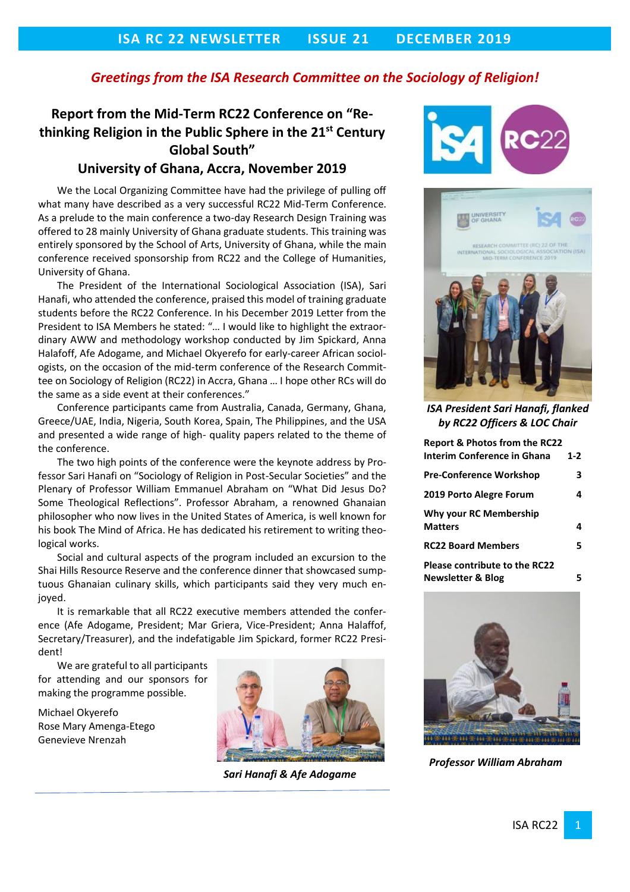### *Greetings from the ISA Research Committee on the Sociology of Religion!*

## **Report from the Mid-Term RC22 Conference on "Rethinking Religion in the Public Sphere in the 21st Century Global South"**

### **University of Ghana, Accra, November 2019**

We the Local Organizing Committee have had the privilege of pulling off what many have described as a very successful RC22 Mid-Term Conference. As a prelude to the main conference a two-day Research Design Training was offered to 28 mainly University of Ghana graduate students. This training was entirely sponsored by the School of Arts, University of Ghana, while the main conference received sponsorship from RC22 and the College of Humanities, University of Ghana.

The President of the International Sociological Association (ISA), Sari Hanafi, who attended the conference, praised this model of training graduate students before the RC22 Conference. In his December 2019 Letter from the President to ISA Members he stated: "… I would like to highlight the extraordinary AWW and methodology workshop conducted by Jim Spickard, Anna Halafoff, Afe Adogame, and Michael Okyerefo for early-career African sociologists, on the occasion of the mid-term conference of the Research Committee on Sociology of Religion (RC22) in Accra, Ghana … I hope other RCs will do the same as a side event at their conferences."

Conference participants came from Australia, Canada, Germany, Ghana, Greece/UAE, India, Nigeria, South Korea, Spain, The Philippines, and the USA and presented a wide range of high- quality papers related to the theme of the conference.

The two high points of the conference were the keynote address by Professor Sari Hanafi on "Sociology of Religion in Post-Secular Societies" and the Plenary of Professor William Emmanuel Abraham on "What Did Jesus Do? Some Theological Reflections". Professor Abraham, a renowned Ghanaian philosopher who now lives in the United States of America, is well known for his book The Mind of Africa. He has dedicated his retirement to writing theological works.

Social and cultural aspects of the program included an excursion to the Shai Hills Resource Reserve and the conference dinner that showcased sumptuous Ghanaian culinary skills, which participants said they very much enjoyed.

It is remarkable that all RC22 executive members attended the conference (Afe Adogame, President; Mar Griera, Vice-President; Anna Halaffof, Secretary/Treasurer), and the indefatigable Jim Spickard, former RC22 President!

We are grateful to all participants for attending and our sponsors for making the programme possible.

Michael Okyerefo Rose Mary Amenga-Etego Genevieve Nrenzah



 *Sari Hanafi & Afe Adogame* 





*ISA President Sari Hanafi, flanked by RC22 Officers & LOC Chair*

| <b>Report &amp; Photos from the RC22</b><br><b>Interim Conference in Ghana</b> | $1-2$ |
|--------------------------------------------------------------------------------|-------|
| <b>Pre-Conference Workshop</b>                                                 | 3     |
| 2019 Porto Alegre Forum                                                        | 4     |
| Why your RC Membership<br><b>Matters</b>                                       | 4     |
| <b>RC22 Board Members</b>                                                      | 5.    |
| <b>Please contribute to the RC22</b><br><b>Newsletter &amp; Blog</b>           |       |



 *Professor William Abraham*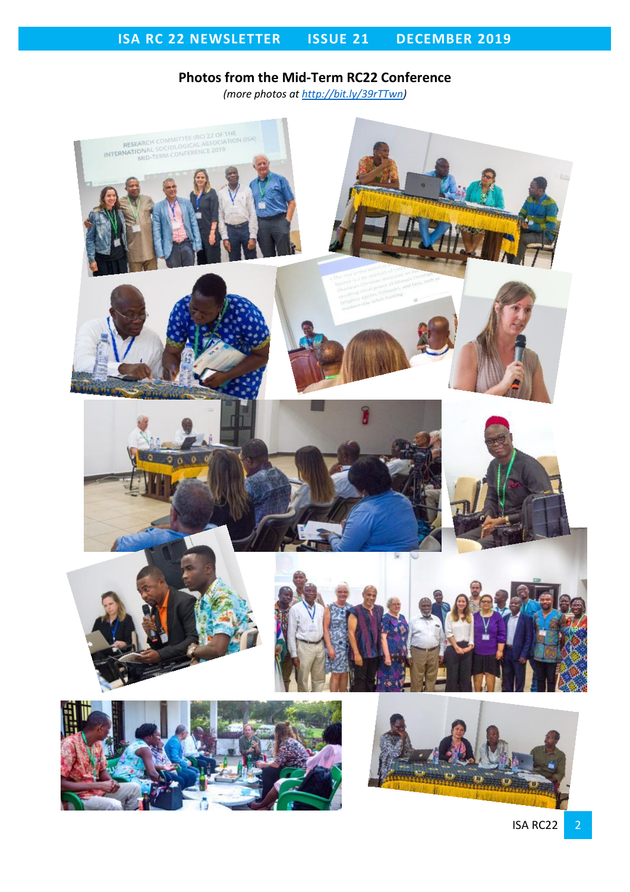# **Photos from the Mid-Term RC22 Conference**

*(more photos at [http://bit.ly/39rTTwn\)](http://bit.ly/39rTTwn)*

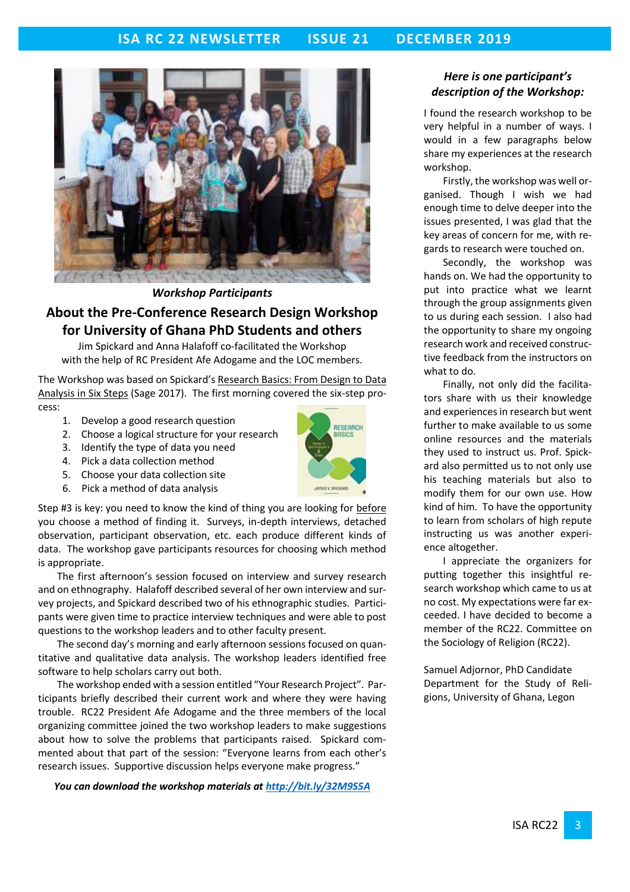

*Workshop Participants*

## **About the Pre-Conference Research Design Workshop for University of Ghana PhD Students and others**

Jim Spickard and Anna Halafoff co-facilitated the Workshop with the help of RC President Afe Adogame and the LOC members.

The Workshop was based on Spickard's Research Basics: From Design to Data Analysis in Six Steps (Sage 2017). The first morning covered the six-step process:

- 1. Develop a good research question
- 2. Choose a logical structure for your research
- 3. Identify the type of data you need
- 4. Pick a data collection method
- 5. Choose your data collection site
- 6. Pick a method of data analysis



Step #3 is key: you need to know the kind of thing you are looking for before you choose a method of finding it. Surveys, in-depth interviews, detached observation, participant observation, etc. each produce different kinds of data. The workshop gave participants resources for choosing which method is appropriate.

The first afternoon's session focused on interview and survey research and on ethnography. Halafoff described several of her own interview and survey projects, and Spickard described two of his ethnographic studies. Participants were given time to practice interview techniques and were able to post questions to the workshop leaders and to other faculty present.

The second day's morning and early afternoon sessions focused on quantitative and qualitative data analysis. The workshop leaders identified free software to help scholars carry out both.

The workshop ended with a session entitled "Your Research Project". Participants briefly described their current work and where they were having trouble. RC22 President Afe Adogame and the three members of the local organizing committee joined the two workshop leaders to make suggestions about how to solve the problems that participants raised. Spickard commented about that part of the session: "Everyone learns from each other's research issues. Supportive discussion helps everyone make progress."

*You can download the workshop materials at<http://bit.ly/32M9S5A>*

### *Here is one participant's description of the Workshop:*

I found the research workshop to be very helpful in a number of ways. I would in a few paragraphs below share my experiences at the research workshop.

Firstly, the workshop was well organised. Though I wish we had enough time to delve deeper into the issues presented, I was glad that the key areas of concern for me, with regards to research were touched on.

Secondly, the workshop was hands on. We had the opportunity to put into practice what we learnt through the group assignments given to us during each session. I also had the opportunity to share my ongoing research work and received constructive feedback from the instructors on what to do.

Finally, not only did the facilitators share with us their knowledge and experiences in research but went further to make available to us some online resources and the materials they used to instruct us. Prof. Spickard also permitted us to not only use his teaching materials but also to modify them for our own use. How kind of him. To have the opportunity to learn from scholars of high repute instructing us was another experience altogether.

I appreciate the organizers for putting together this insightful research workshop which came to us at no cost. My expectations were far exceeded. I have decided to become a member of the RC22. Committee on the Sociology of Religion (RC22).

Samuel Adjornor, PhD Candidate Department for the Study of Religions, University of Ghana, Legon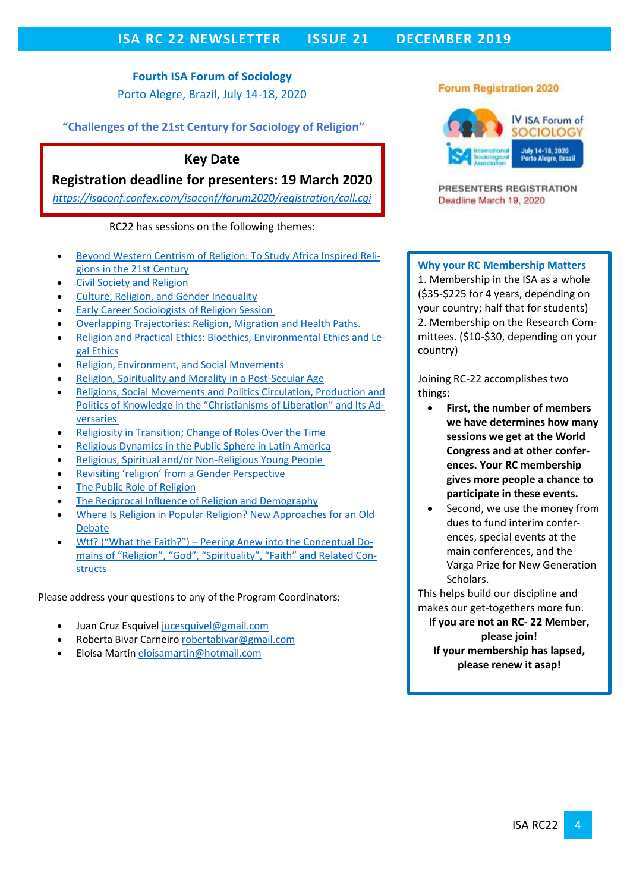## **ISA RC 22 NEWSLETTER ISSUE 21 DECEMBER 2019**

**Fourth ISA Forum of Sociology** Porto Alegre, Brazil, July 14-18, 2020

**"Challenges of the 21st Century for Sociology of Religion"**

## **Key Date**

## **Registration deadline for presenters: 19 March 2020**

*<https://isaconf.confex.com/isaconf/forum2020/registration/call.cgi>*

### RC22 has sessions on the following themes:

- [Beyond Western Centrism of Religion: To Study Africa Inspired Reli](https://isaconf.confex.com/isaconf/forum2020/webprogrampreliminary/Session14323.html)[gions in the 21st Century](https://isaconf.confex.com/isaconf/forum2020/webprogrampreliminary/Session14323.html)
- [Civil Society and Religion](https://isaconf.confex.com/isaconf/forum2020/webprogrampreliminary/Session12484.html)
- [Culture, Religion, and Gender Inequality](https://isaconf.confex.com/isaconf/forum2020/webprogrampreliminary/Session13143.html)
- **[Early Career Sociologists of Religion Session](https://isaconf.confex.com/isaconf/forum2020/webprogrampreliminary/Session12821.html)**
- [Overlapping Trajectories: Religion, Migration and Health Paths.](https://isaconf.confex.com/isaconf/forum2020/webprogrampreliminary/Session14172.html)
- [Religion and Practical Ethics: Bioethics, Environmental Ethics and Le](https://isaconf.confex.com/isaconf/forum2020/webprogrampreliminary/Session14801.html)[gal Ethics](https://isaconf.confex.com/isaconf/forum2020/webprogrampreliminary/Session14801.html)
- [Religion, Environment, and Social Movements](https://isaconf.confex.com/isaconf/forum2020/webprogrampreliminary/Session14900.html)
- [Religion, Spirituality and Morality in a Post-Secular Age](https://isaconf.confex.com/isaconf/forum2020/webprogrampreliminary/Session13129.html)
- [Religions, Social Movements and Politics Circulation, Production and](https://isaconf.confex.com/isaconf/forum2020/webprogrampreliminary/Session14864.html)  [Politics of Knowledge in the "Christianisms of Liberation" and Its Ad](https://isaconf.confex.com/isaconf/forum2020/webprogrampreliminary/Session14864.html)[versaries](https://isaconf.confex.com/isaconf/forum2020/webprogrampreliminary/Session14864.html)
- [Religiosity in Transition; Change of Roles Over the Time](https://isaconf.confex.com/isaconf/forum2020/webprogrampreliminary/Session15163.html)
- [Religious Dynamics in the Public Sphere in Latin America](https://isaconf.confex.com/isaconf/forum2020/webprogrampreliminary/Session14653.html)
- [Religious, Spiritual and/or Non-Religious Young People](https://isaconf.confex.com/isaconf/forum2020/webprogrampreliminary/Session14755.html)
- [Revisiting 'religion' from a Gender Pe](https://isaconf.confex.com/isaconf/forum2020/webprogrampreliminary/Session15213.html)rspective
- [The Public Role of Religion](https://isaconf.confex.com/isaconf/forum2020/webprogrampreliminary/Session12357.html)
- [The Reciprocal Influence of Religion and Demography](https://isaconf.confex.com/isaconf/forum2020/webprogrampreliminary/Session12576.html)
- [Where Is Religion in Popular Religion? New Approaches for an Old](https://isaconf.confex.com/isaconf/forum2020/webprogrampreliminary/Session13108.html)  [Debate](https://isaconf.confex.com/isaconf/forum2020/webprogrampreliminary/Session13108.html)
- Wtf? ("What the Faith?") [Peering Anew into the Conceptual Do](https://isaconf.confex.com/isaconf/forum2020/webprogrampreliminary/Session12264.html)[mains of "Religion", "God", "Spirituality", "Faith" and Related Con](https://isaconf.confex.com/isaconf/forum2020/webprogrampreliminary/Session12264.html)[structs](https://isaconf.confex.com/isaconf/forum2020/webprogrampreliminary/Session12264.html)

Please address your questions to any of the Program Coordinators:

- Juan Cruz Esquive[l jucesquivel@gmail.com](mailto:jucesquivel@gmail.com)
- Roberta Bivar Carneir[o robertabivar@gmail.com](mailto:robertabivar@gmail.com)
- Eloísa Martí[n eloisamartin@hotmail.com](mailto:eloisamartin@hotmail.com)

### **Forum Registration 2020**



PRESENTERS REGISTRATION Deadline March 19, 2020

### **Why your RC Membership Matters**

1. Membership in the ISA as a whole (\$35-\$225 for 4 years, depending on your country; half that for students) 2. Membership on the Research Committees. (\$10-\$30, depending on your country)

Joining RC-22 accomplishes two things:

- **First, the number of members we have determines how many sessions we get at the World Congress and at other conferences. Your RC membership gives more people a chance to participate in these events.**
- Second, we use the money from dues to fund interim conferences, special events at the main conferences, and the Varga Prize for New Generation Scholars.

This helps build our discipline and makes our get-togethers more fun. **If you are not an RC- 22 Member, please join! If your membership has lapsed, please renew it asap!**